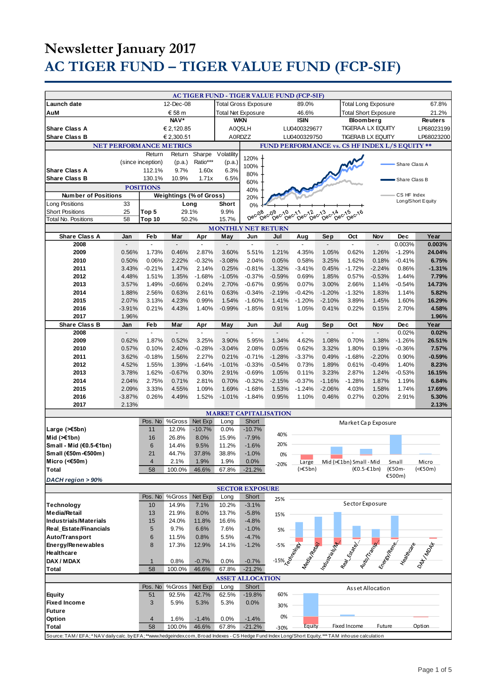# **Newsletter January 2017 AC TIGER FUND – TIGER VALUE FUND (FCP-SIF)**

|                                                                                                                                               |                |                   |                                  |               |                           |                                      | AC TIGER FUND - TIGER VALUE FUND (FCP-SIF)          |                                                            |                             |                                                                                                                                                                                                                                |                  |                                  |                 |
|-----------------------------------------------------------------------------------------------------------------------------------------------|----------------|-------------------|----------------------------------|---------------|---------------------------|--------------------------------------|-----------------------------------------------------|------------------------------------------------------------|-----------------------------|--------------------------------------------------------------------------------------------------------------------------------------------------------------------------------------------------------------------------------|------------------|----------------------------------|-----------------|
| Launch date                                                                                                                                   | 12-Dec-08      |                   |                                  |               |                           | <b>Total Gross Exposure</b><br>89.0% |                                                     |                                                            |                             | <b>Total Long Exposure</b><br>67.8%                                                                                                                                                                                            |                  |                                  |                 |
| AuM                                                                                                                                           | € 58 m         |                   |                                  |               |                           |                                      |                                                     |                                                            | <b>Total Short Exposure</b> |                                                                                                                                                                                                                                |                  | 21.2%                            |                 |
| NAV*                                                                                                                                          |                |                   | Total Net Exposure<br><b>WKN</b> |               |                           | 46.6%<br><b>ISIN</b>                 |                                                     | <b>Bloomberg</b>                                           |                             |                                                                                                                                                                                                                                | <b>Reuters</b>   |                                  |                 |
|                                                                                                                                               |                |                   |                                  |               |                           |                                      |                                                     |                                                            |                             | <b>TIGERAA LX EQUITY</b>                                                                                                                                                                                                       |                  |                                  |                 |
| <b>Share Class A</b>                                                                                                                          |                |                   | € 2,120.85                       |               |                           | A0Q5LH                               |                                                     | LU0400329677                                               |                             |                                                                                                                                                                                                                                |                  |                                  | LP68023199      |
| <b>Share Class B</b>                                                                                                                          |                |                   | € 2,300.51                       |               |                           | A0RDZZ                               |                                                     | LU0400329750                                               |                             | <b>TIGERAB LX EQUITY</b>                                                                                                                                                                                                       |                  |                                  | LP68023200      |
| <b>NET PERFORMANCE METRICS</b><br>FUND PERFORMANCE vs. CS HF INDEX L/S EQUITY **                                                              |                |                   |                                  |               |                           |                                      |                                                     |                                                            |                             |                                                                                                                                                                                                                                |                  |                                  |                 |
|                                                                                                                                               |                | Return            |                                  | Return Sharpe | Volatility                | 120%                                 |                                                     |                                                            |                             |                                                                                                                                                                                                                                |                  |                                  |                 |
|                                                                                                                                               |                | (since inception) | (p.a.)                           | Ratio***      | (p.a.)                    | 100%                                 |                                                     |                                                            |                             |                                                                                                                                                                                                                                |                  | Share Class A                    |                 |
| <b>Share Class A</b>                                                                                                                          |                | 112.1%            | 9.7%                             | 1.60x         | 6.3%                      | 80%                                  |                                                     |                                                            |                             |                                                                                                                                                                                                                                |                  |                                  |                 |
| <b>Share Class B</b>                                                                                                                          |                | 130.1%            | 10.9%                            | 1.71x         | 6.5%                      | 60%                                  |                                                     |                                                            |                             |                                                                                                                                                                                                                                |                  | Share Class B                    |                 |
|                                                                                                                                               |                | <b>POSITIONS</b>  |                                  |               |                           | 40%                                  |                                                     |                                                            |                             |                                                                                                                                                                                                                                |                  |                                  |                 |
| <b>Number of Positions</b>                                                                                                                    |                |                   | <b>Weightings (% of Gross)</b>   |               |                           | 20%                                  |                                                     |                                                            |                             |                                                                                                                                                                                                                                |                  | CS HF Index<br>Long/Short Equity |                 |
| Long Positions                                                                                                                                | 33             |                   | Long                             |               | Short                     | 0%                                   |                                                     |                                                            |                             |                                                                                                                                                                                                                                |                  |                                  |                 |
| <b>Short Positions</b>                                                                                                                        | 25             | Top 5             | 29.1%                            |               | 9.9%                      | Dec <sub>08</sub>                    | Dec <sub>09</sub><br>$\tilde{D}^{ec}$ <sup>10</sup> | $b^{\text{ec}}$ <sup>3</sup><br>10 c-11 c-12<br>Dec-Dec-2e | $\tilde{D}e^{C\Lambda A}$   | 14 0ec-15 c-16                                                                                                                                                                                                                 |                  |                                  |                 |
| Total No. Positions                                                                                                                           | 58             | Top 10            | 50.2%                            |               | 15.7%                     |                                      |                                                     |                                                            |                             |                                                                                                                                                                                                                                |                  |                                  |                 |
|                                                                                                                                               |                |                   |                                  |               | <b>MONTHLY NET RETURN</b> |                                      |                                                     |                                                            |                             |                                                                                                                                                                                                                                |                  |                                  |                 |
| <b>Share Class A</b>                                                                                                                          | Jan            | Feb               | Mar                              | Apr           | May                       | Jun                                  | Jul                                                 | Aug                                                        | Sep                         | Oct                                                                                                                                                                                                                            | Nov              | <b>Dec</b>                       | Year            |
| 2008                                                                                                                                          |                | $\sim$            |                                  |               |                           |                                      |                                                     |                                                            |                             |                                                                                                                                                                                                                                |                  | 0.003%                           | 0.003%          |
| 2009                                                                                                                                          | 0.56%          | 1.73%             | 0.46%                            | 2.87%         | 3.60%                     | 5.51%                                | 1.21%                                               | 4.35%                                                      | 1.05%                       | 0.62%                                                                                                                                                                                                                          | 1.26%            | $-1.29%$                         | 24.04%          |
| 2010                                                                                                                                          | 0.50%          | 0.06%             | 2.22%                            | $-0.32%$      | $-3.08%$                  | 2.04%                                | 0.05%                                               | 0.58%                                                      | 3.25%                       | 1.62%                                                                                                                                                                                                                          | 0.18%            | $-0.41%$                         | 6.75%           |
| 2011                                                                                                                                          | 3.43%          | $-0.21%$          | 1.47%                            | 2.14%         | 0.25%                     | $-0.81%$                             | $-1.32%$                                            | $-3.41%$                                                   | 0.45%                       | $-1.72%$                                                                                                                                                                                                                       | $-2.24%$         | 0.86%                            | $-1.31%$        |
| 2012                                                                                                                                          | 4.48%          | 1.51%             | 1.35%                            | $-1.68%$      | $-1.05%$                  | $-0.37%$                             | $-0.59%$                                            | 0.69%                                                      | 1.85%                       | 0.57%                                                                                                                                                                                                                          | $-0.53%$         | 1.44%                            | 7.79%           |
| 2013                                                                                                                                          | 3.57%          | 1.49%             | $-0.66%$                         | 0.24%         | 2.70%                     | $-0.67%$                             | 0.95%                                               | 0.07%                                                      | 3.00%                       | 2.66%                                                                                                                                                                                                                          | 1.14%            | $-0.54%$                         | 14.73%          |
| 2014                                                                                                                                          | 1.88%          | 2.56%             | 0.63%                            | 2.61%         | 0.63%                     | $-0.34%$                             | $-2.19%$                                            | $-0.42%$                                                   | $-1.20%$                    | $-1.32%$                                                                                                                                                                                                                       | 1.83%            | 1.14%                            | 5.82%           |
| 2015                                                                                                                                          | 2.07%          | 3.13%             | 4.23%                            | 0.99%         | 1.54%                     | $-1.60%$                             | 1.41%                                               | $-1.20%$                                                   | $-2.10%$                    | 3.89%                                                                                                                                                                                                                          | 1.45%            | 1.60%                            | 16.29%          |
| 2016                                                                                                                                          | $-3.91%$       | 0.21%             | 4.43%                            | 1.40%         | $-0.99%$                  | $-1.85%$                             | 0.91%                                               | 1.05%                                                      | 0.41%                       | 0.22%                                                                                                                                                                                                                          | 0.15%            | 2.70%                            | 4.58%           |
| 2017                                                                                                                                          | 1.96%          |                   |                                  |               |                           |                                      |                                                     |                                                            |                             |                                                                                                                                                                                                                                |                  |                                  | 1.96%           |
| <b>Share Class B</b>                                                                                                                          | Jan            | Feb               | Mar                              | Apr           | May                       | Jun                                  | Jul                                                 | Aug                                                        | Sep                         | Oct                                                                                                                                                                                                                            | Nov              | Dec                              | Year            |
| 2008                                                                                                                                          |                | 1.87%             |                                  | 3.25%         | 3.90%                     |                                      | 1.34%                                               | 4.62%                                                      |                             | $\blacksquare$<br>0.70%                                                                                                                                                                                                        | 1.38%            | 0.02%                            | 0.02%           |
| 2009<br>2010                                                                                                                                  | 0.62%<br>0.57% | 0.10%             | 0.52%<br>2.40%                   | $-0.28%$      | $-3.04%$                  | 5.95%<br>2.08%                       | 0.05%                                               | 0.62%                                                      | 1.08%<br>3.32%              | 1.80%                                                                                                                                                                                                                          | 0.19%            | $-1.26%$<br>$-0.36%$             | 26.51%<br>7.57% |
| 2011                                                                                                                                          | 3.62%          | $-0.18%$          | 1.56%                            | 2.27%         | 0.21%                     | $-0.71%$                             | $-1.28%$                                            | $-3.37%$                                                   | 0.49%                       | $-1.68%$                                                                                                                                                                                                                       | $-2.20%$         | 0.90%                            | $-0.59%$        |
| 2012                                                                                                                                          | 4.52%          | 1.55%             | 1.39%                            | $-1.64%$      | $-1.01%$                  | $-0.33%$                             | $-0.54%$                                            | 0.73%                                                      | 1.89%                       | 0.61%                                                                                                                                                                                                                          | $-0.49%$         | 1.40%                            | 8.23%           |
| 2013                                                                                                                                          | 3.78%          | 1.62%             | $-0.67%$                         | 0.30%         | 2.91%                     | $-0.69%$                             | 1.05%                                               | 0.11%                                                      | 3.23%                       | 2.87%                                                                                                                                                                                                                          | 1.24%            | $-0.53%$                         | 16.15%          |
| 2014                                                                                                                                          | 2.04%          | 2.75%             | 0.71%                            | 2.81%         | 0.70%                     | $-0.32%$                             | $-2.15%$                                            | $-0.37%$                                                   | $-1.16%$                    | $-1.28%$                                                                                                                                                                                                                       | 1.87%            | 1.19%                            | 6.84%           |
| 2015                                                                                                                                          | 2.09%          | 3.33%             | 4.55%                            | 1.09%         | 1.69%                     | $-1.68%$                             | 1.53%                                               | $-1.24%$                                                   | $-2.06%$                    | 4.03%                                                                                                                                                                                                                          | 1.58%            | 1.74%                            | 17.69%          |
| 2016                                                                                                                                          | $-3.87%$       | 0.26%             | 4.49%                            | 1.52%         | $-1.01%$                  | $-1.84%$                             | 0.95%                                               | 1.10%                                                      | 0.46%                       | 0.27%                                                                                                                                                                                                                          | 0.20%            | 2.91%                            | 5.30%           |
| 2017                                                                                                                                          | 2.13%          |                   |                                  |               |                           |                                      |                                                     |                                                            |                             |                                                                                                                                                                                                                                |                  |                                  | 2.13%           |
|                                                                                                                                               |                |                   |                                  |               |                           |                                      | <b>MARKET CAPITALISATION</b>                        |                                                            |                             |                                                                                                                                                                                                                                |                  |                                  |                 |
|                                                                                                                                               |                | Pos. No           | %Gross                           | Net Exp       | Long                      | Short                                |                                                     |                                                            |                             | Market Cap Exposure                                                                                                                                                                                                            |                  |                                  |                 |
| Large $($ $\leq$ 5bn)                                                                                                                         |                | 11                | 12.0%                            | $-10.7%$      | 0.0%                      | $-10.7%$                             | 40%                                                 |                                                            |                             |                                                                                                                                                                                                                                |                  |                                  |                 |
| Mid $(\ge 1$ bn)                                                                                                                              |                | 16                | 26.8%                            | 8.0%          | 15.9%                     | $-7.9%$                              |                                                     |                                                            |                             |                                                                                                                                                                                                                                |                  |                                  |                 |
| Small - Mid (€0.5-€1bn)                                                                                                                       |                | $6\phantom{1}6$   | 14.4%                            | 9.5%          | 11.2%                     | $-1.6%$                              | 20%                                                 |                                                            |                             |                                                                                                                                                                                                                                |                  |                                  |                 |
| Sm all (€50m-€500m)                                                                                                                           |                | 21                | 44.7%                            | 37.8%         | 38.8%                     | $-1.0%$                              | 0%                                                  |                                                            |                             |                                                                                                                                                                                                                                |                  |                                  |                 |
| Micro (<€50m)                                                                                                                                 |                | $\overline{4}$    | 2.1%                             | 1.9%          | 1.9%                      | $0.0\%$                              | $-20%$                                              | Large                                                      |                             | Mid (>€1bn) Small - Mid                                                                                                                                                                                                        |                  | Small                            | Micro           |
| <b>Total</b>                                                                                                                                  |                | 58                | 100.0%                           | 46.6%         | 67.8%                     | $-21.2%$                             |                                                     | (565bn)                                                    |                             |                                                                                                                                                                                                                                | $(60.5 - 61$ bn) | (€50m-<br>€500m)                 | $(\epsilon50m)$ |
| DACH region > 90%                                                                                                                             |                |                   |                                  |               |                           |                                      |                                                     |                                                            |                             |                                                                                                                                                                                                                                |                  |                                  |                 |
| <b>SECTOR EXPOSURE</b>                                                                                                                        |                |                   |                                  |               |                           |                                      |                                                     |                                                            |                             |                                                                                                                                                                                                                                |                  |                                  |                 |
|                                                                                                                                               |                | Pos. No           | %Gross                           | Net Exp       | Long                      | Short                                | 25%                                                 |                                                            |                             |                                                                                                                                                                                                                                |                  |                                  |                 |
| Technology                                                                                                                                    |                | 10                | 14.9%                            | 7.1%          | 10.2%                     | $-3.1%$                              |                                                     |                                                            |                             | Sector Exposure                                                                                                                                                                                                                |                  |                                  |                 |
| <b>Media/Retail</b>                                                                                                                           |                | 13                | 21.9%                            | 8.0%          | 13.7%                     | $-5.8%$                              | 15%                                                 |                                                            |                             |                                                                                                                                                                                                                                |                  |                                  |                 |
| <b>Industrials/Materials</b>                                                                                                                  |                | 15                | 24.0%                            | 11.8%         | 16.6%                     | $-4.8%$                              |                                                     |                                                            |                             |                                                                                                                                                                                                                                |                  |                                  |                 |
| Real_Estate/Financials                                                                                                                        |                | $5\phantom{.0}$   | 9.7%                             | 6.6%          | 7.6%                      | $-1.0%$                              | 5%                                                  |                                                            |                             |                                                                                                                                                                                                                                |                  |                                  |                 |
| Auto/Transport                                                                                                                                |                | $\,6$             | 11.5%                            | 0.8%          | 5.5%                      | $-4.7%$                              |                                                     |                                                            |                             |                                                                                                                                                                                                                                |                  |                                  |                 |
| Energy/Renewables                                                                                                                             |                | 8                 | 17.3%                            | 12.9%         | 14.1%                     | $-1.2%$                              |                                                     |                                                            |                             |                                                                                                                                                                                                                                |                  |                                  |                 |
| Healthcare                                                                                                                                    |                |                   |                                  |               |                           |                                      |                                                     |                                                            |                             |                                                                                                                                                                                                                                |                  |                                  |                 |
| DAX / MDAX                                                                                                                                    |                | $\mathbf{1}$      | 0.8%                             | $-0.7%$       | 0.0%                      | $-0.7%$                              | -15% 26                                             |                                                            |                             | New Read Read Property of the Concession of the Concession of the Concession of the Concession of the Concession of the Concession of the Concession of the Concession of the Concession of the Concession of the Concession o |                  |                                  |                 |
| <b>Total</b>                                                                                                                                  |                | 58                | 100.0%                           | 46.6%         | 67.8%                     | $-21.2%$                             |                                                     |                                                            |                             |                                                                                                                                                                                                                                |                  |                                  |                 |
|                                                                                                                                               |                | Pos. No           | %Gross                           | Net Exp       |                           | <b>ASSET ALLOCATION</b><br>Short     |                                                     |                                                            |                             |                                                                                                                                                                                                                                |                  |                                  |                 |
| <b>Equity</b>                                                                                                                                 |                | 51                | 92.5%                            | 42.7%         | Long<br>62.5%             | $-19.8%$                             | 60%                                                 |                                                            |                             |                                                                                                                                                                                                                                | Asset Allocation |                                  |                 |
| <b>Fixed Income</b>                                                                                                                           |                | 3                 | 5.9%                             | 5.3%          | 5.3%                      | 0.0%                                 |                                                     |                                                            |                             |                                                                                                                                                                                                                                |                  |                                  |                 |
| <b>Future</b>                                                                                                                                 |                |                   |                                  |               |                           |                                      | 30%                                                 |                                                            |                             |                                                                                                                                                                                                                                |                  |                                  |                 |
| Option                                                                                                                                        |                | 4                 | 1.6%                             | $-1.4%$       | 0.0%                      | $-1.4%$                              | 0%                                                  |                                                            |                             |                                                                                                                                                                                                                                |                  |                                  |                 |
| <b>Total</b>                                                                                                                                  |                | 58                | 100.0%                           | 46.6%         | 67.8%                     | $-21.2%$                             | $-30%$                                              | Equity                                                     |                             | Fixed Income                                                                                                                                                                                                                   | Future           |                                  | Option          |
| Source: TAM/EFA;*NAV daily calc. by EFA;**www.hedgeindex.com, Broad Indexes - CS Hedge Fund IndexLong/Short Equity;***TAM inhouse calculation |                |                   |                                  |               |                           |                                      |                                                     |                                                            |                             |                                                                                                                                                                                                                                |                  |                                  |                 |
|                                                                                                                                               |                |                   |                                  |               |                           |                                      |                                                     |                                                            |                             |                                                                                                                                                                                                                                |                  |                                  |                 |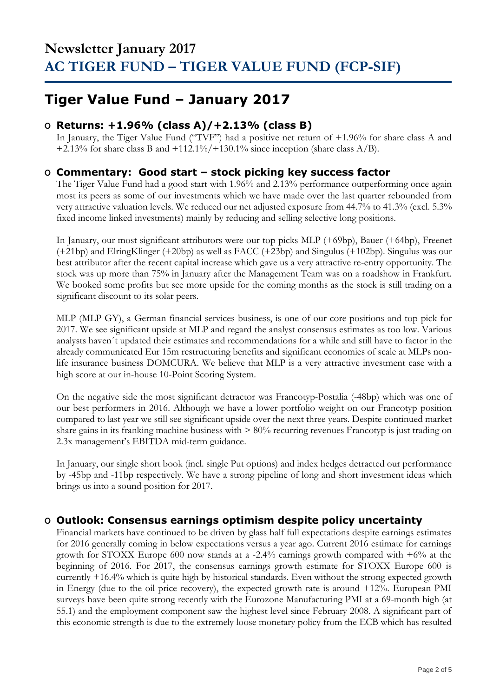## **Tiger Value Fund – January 2017**

### **O Returns: +1.96% (class A)/+2.13% (class B)**

In January, the Tiger Value Fund ("TVF") had a positive net return of +1.96% for share class A and +2.13% for share class B and +112.1%/+130.1% since inception (share class  $A/B$ ).

### **O Commentary: Good start – stock picking key success factor**

The Tiger Value Fund had a good start with 1.96% and 2.13% performance outperforming once again most its peers as some of our investments which we have made over the last quarter rebounded from very attractive valuation levels. We reduced our net adjusted exposure from 44.7% to 41.3% (excl. 5.3% fixed income linked investments) mainly by reducing and selling selective long positions.

In January, our most significant attributors were our top picks MLP (+69bp), Bauer (+64bp), Freenet (+21bp) and ElringKlinger (+20bp) as well as FACC (+23bp) and Singulus (+102bp). Singulus was our best attributor after the recent capital increase which gave us a very attractive re-entry opportunity. The stock was up more than 75% in January after the Management Team was on a roadshow in Frankfurt. We booked some profits but see more upside for the coming months as the stock is still trading on a significant discount to its solar peers.

MLP (MLP GY), a German financial services business, is one of our core positions and top pick for 2017. We see significant upside at MLP and regard the analyst consensus estimates as too low. Various analysts haven´t updated their estimates and recommendations for a while and still have to factor in the already communicated Eur 15m restructuring benefits and significant economies of scale at MLPs nonlife insurance business DOMCURA. We believe that MLP is a very attractive investment case with a high score at our in-house 10-Point Scoring System.

On the negative side the most significant detractor was Francotyp-Postalia (-48bp) which was one of our best performers in 2016. Although we have a lower portfolio weight on our Francotyp position compared to last year we still see significant upside over the next three years. Despite continued market share gains in its franking machine business with > 80% recurring revenues Francotyp is just trading on 2.3x management's EBITDA mid-term guidance.

In January, our single short book (incl. single Put options) and index hedges detracted our performance by -45bp and -11bp respectively. We have a strong pipeline of long and short investment ideas which brings us into a sound position for 2017.

### **O Outlook: Consensus earnings optimism despite policy uncertainty**

Financial markets have continued to be driven by glass half full expectations despite earnings estimates for 2016 generally coming in below expectations versus a year ago. Current 2016 estimate for earnings growth for STOXX Europe 600 now stands at a -2.4% earnings growth compared with +6% at the beginning of 2016. For 2017, the consensus earnings growth estimate for STOXX Europe 600 is currently +16.4% which is quite high by historical standards. Even without the strong expected growth in Energy (due to the oil price recovery), the expected growth rate is around +12%. European PMI surveys have been quite strong recently with the Eurozone Manufacturing PMI at a 69-month high (at 55.1) and the employment component saw the highest level since February 2008. A significant part of this economic strength is due to the extremely loose monetary policy from the ECB which has resulted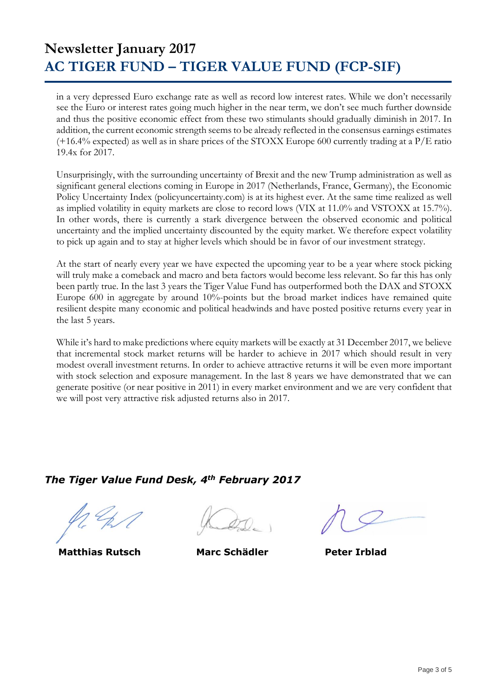## **Newsletter January 2017 AC TIGER FUND – TIGER VALUE FUND (FCP-SIF)**

in a very depressed Euro exchange rate as well as record low interest rates. While we don't necessarily see the Euro or interest rates going much higher in the near term, we don't see much further downside and thus the positive economic effect from these two stimulants should gradually diminish in 2017. In addition, the current economic strength seems to be already reflected in the consensus earnings estimates (+16.4% expected) as well as in share prices of the STOXX Europe 600 currently trading at a P/E ratio 19.4x for 2017.

Unsurprisingly, with the surrounding uncertainty of Brexit and the new Trump administration as well as significant general elections coming in Europe in 2017 (Netherlands, France, Germany), the Economic Policy Uncertainty Index (policyuncertainty.com) is at its highest ever. At the same time realized as well as implied volatility in equity markets are close to record lows (VIX at 11.0% and VSTOXX at 15.7%). In other words, there is currently a stark divergence between the observed economic and political uncertainty and the implied uncertainty discounted by the equity market. We therefore expect volatility to pick up again and to stay at higher levels which should be in favor of our investment strategy.

At the start of nearly every year we have expected the upcoming year to be a year where stock picking will truly make a comeback and macro and beta factors would become less relevant. So far this has only been partly true. In the last 3 years the Tiger Value Fund has outperformed both the DAX and STOXX Europe 600 in aggregate by around 10%-points but the broad market indices have remained quite resilient despite many economic and political headwinds and have posted positive returns every year in the last 5 years.

While it's hard to make predictions where equity markets will be exactly at 31 December 2017, we believe that incremental stock market returns will be harder to achieve in 2017 which should result in very modest overall investment returns. In order to achieve attractive returns it will be even more important with stock selection and exposure management. In the last 8 years we have demonstrated that we can generate positive (or near positive in 2011) in every market environment and we are very confident that we will post very attractive risk adjusted returns also in 2017.

### *The Tiger Value Fund Desk, 4th February 2017*

 **Matthias Rutsch Marc Schädler Peter Irblad**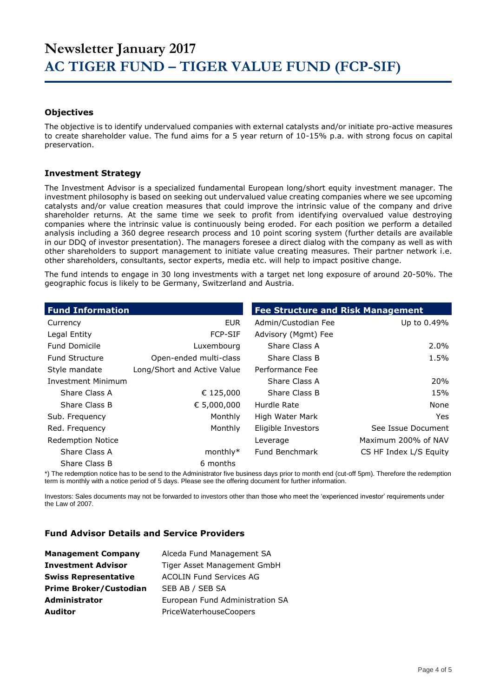#### **Objectives**

The objective is to identify undervalued companies with external catalysts and/or initiate pro-active measures to create shareholder value. The fund aims for a 5 year return of 10-15% p.a. with strong focus on capital preservation.

#### **Investment Strategy**

The Investment Advisor is a specialized fundamental European long/short equity investment manager. The investment philosophy is based on seeking out undervalued value creating companies where we see upcoming catalysts and/or value creation measures that could improve the intrinsic value of the company and drive shareholder returns. At the same time we seek to profit from identifying overvalued value destroying companies where the intrinsic value is continuously being eroded. For each position we perform a detailed analysis including a 360 degree research process and 10 point scoring system (further details are available in our DDQ of investor presentation). The managers foresee a direct dialog with the company as well as with other shareholders to support management to initiate value creating measures. Their partner network i.e. other shareholders, consultants, sector experts, media etc. will help to impact positive change.

The fund intends to engage in 30 long investments with a target net long exposure of around 20-50%. The geographic focus is likely to be Germany, Switzerland and Austria.

| <b>Fund Information</b>   |                             | <b>Fee Structure and Risk Management</b> |                        |
|---------------------------|-----------------------------|------------------------------------------|------------------------|
| Currency                  | <b>EUR</b>                  | Admin/Custodian Fee                      | Up to 0.49%            |
| Legal Entity              | <b>FCP-SIF</b>              | Advisory (Mgmt) Fee                      |                        |
| <b>Fund Domicile</b>      | Luxembourg                  | Share Class A                            | $2.0\%$                |
| <b>Fund Structure</b>     | Open-ended multi-class      | Share Class B                            | 1.5%                   |
| Style mandate             | Long/Short and Active Value | Performance Fee                          |                        |
| <b>Investment Minimum</b> |                             | Share Class A                            | <b>20%</b>             |
| Share Class A             | € 125,000                   | Share Class B                            | 15%                    |
| Share Class B             | € 5,000,000                 | Hurdle Rate                              | None                   |
| Sub. Frequency            | Monthly                     | High Water Mark                          | Yes.                   |
| Red. Frequency            | Monthly                     | Eligible Investors                       | See Issue Document     |
| <b>Redemption Notice</b>  |                             | Leverage                                 | Maximum 200% of NAV    |
| Share Class A             | $monthly*$                  | Fund Benchmark                           | CS HF Index L/S Equity |
| Share Class B             | 6 months                    |                                          |                        |

\*) The redemption notice has to be send to the Administrator five business days prior to month end (cut-off 5pm). Therefore the redemption term is monthly with a notice period of 5 days. Please see the offering document for further information.

Investors: Sales documents may not be forwarded to investors other than those who meet the 'experienced investor' requirements under the Law of 2007.

#### **Fund Advisor Details and Service Providers**

| <b>Management Company</b>     | Alceda Fund Management SA       |
|-------------------------------|---------------------------------|
| <b>Investment Advisor</b>     | Tiger Asset Management GmbH     |
| <b>Swiss Representative</b>   | <b>ACOLIN Fund Services AG</b>  |
| <b>Prime Broker/Custodian</b> | SEB AB / SEB SA                 |
| <b>Administrator</b>          | European Fund Administration SA |
| <b>Auditor</b>                | PriceWaterhouseCoopers          |